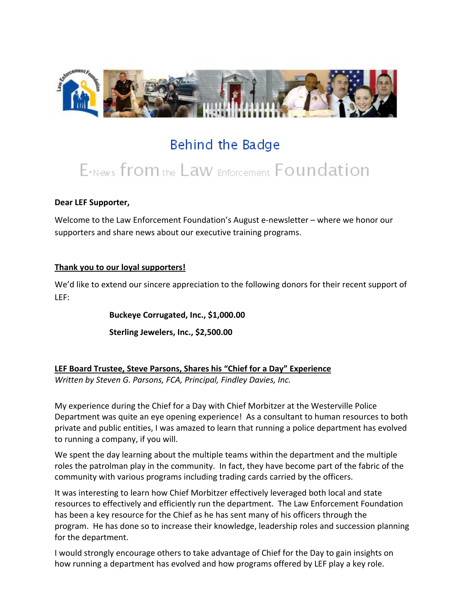

## Behind the Badge

# E-News from the Law Enforcement Foundation

#### **Dear LEF Supporter,**

Welcome to the Law Enforcement Foundation's August e-newsletter – where we honor our supporters and share news about our executive training programs.

#### **Thank you to our loyal supporters!**

We'd like to extend our sincere appreciation to the following donors for their recent support of LEF:

**Buckeye Corrugated, Inc., \$1,000.00**

**Sterling Jewelers, Inc., \$2,500.00**

**LEF Board Trustee, Steve Parsons, Shares his "Chief for a Day" Experience** *Written by Steven G. Parsons, FCA, Principal, Findley Davies, Inc.*

My experience during the Chief for a Day with Chief Morbitzer at the Westerville Police Department was quite an eye opening experience! As a consultant to human resources to both private and public entities, I was amazed to learn that running a police department has evolved to running a company, if you will.

We spent the day learning about the multiple teams within the department and the multiple roles the patrolman play in the community. In fact, they have become part of the fabric of the community with various programs including trading cards carried by the officers.

It was interesting to learn how Chief Morbitzer effectively leveraged both local and state resources to effectively and efficiently run the department. The Law Enforcement Foundation has been a key resource for the Chief as he has sent many of his officers through the program. He has done so to increase their knowledge, leadership roles and succession planning for the department.

I would strongly encourage others to take advantage of Chief for the Day to gain insights on how running a department has evolved and how programs offered by LEF play a key role.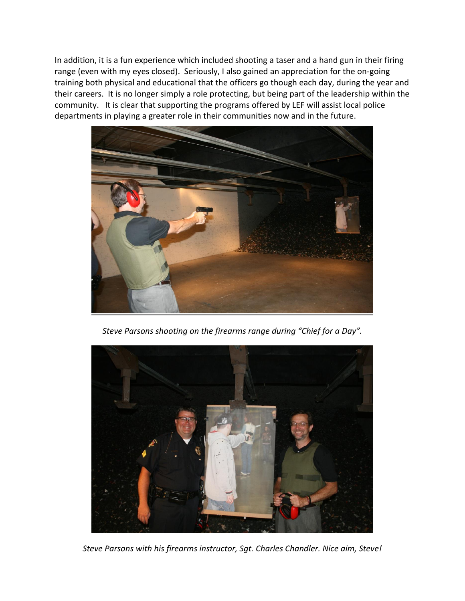In addition, it is a fun experience which included shooting a taser and a hand gun in their firing range (even with my eyes closed). Seriously, I also gained an appreciation for the on-going training both physical and educational that the officers go though each day, during the year and their careers. It is no longer simply a role protecting, but being part of the leadership within the community. It is clear that supporting the programs offered by LEF will assist local police departments in playing a greater role in their communities now and in the future.



*Steve Parsons shooting on the firearms range during "Chief for a Day".*



*Steve Parsons with his firearms instructor, Sgt. Charles Chandler. Nice aim, Steve!*